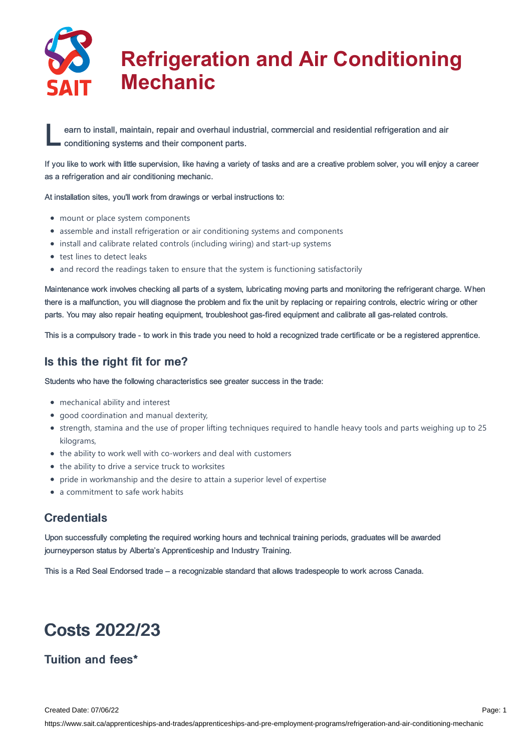

# **Refrigeration and Air Conditioning Mechanic**

earn to install, maintain, repair and overhaul indu<br>
conditioning systems and their component parts. earn to install, maintain, repair and overhaul industrial, commercial and residential refrigeration and air

If you like to work with little supervision, like having a variety of tasks and are a creative problem solver, you will enjoy a career as a refrigeration and air conditioning mechanic.

At installation sites, you'll work from drawings or verbal instructions to:

- mount or place system components
- assemble and install refrigeration or air conditioning systems and components
- install and calibrate related controls (including wiring) and start-up systems
- test lines to detect leaks
- and record the readings taken to ensure that the system is functioning satisfactorily

Maintenance work involves checking all parts of a system, lubricating moving parts and monitoring the refrigerant charge. When there is a malfunction, you will diagnose the problem and fix the unit by replacing or repairing controls, electric wiring or other parts. You may also repair heating equipment, troubleshoot gas-fired equipment and calibrate all gas-related controls.

This is a compulsory trade - to work in this trade you need to hold a recognized trade certificate or be a registered apprentice.

### Is this the right fit for me?

Students who have the following characteristics see greater success in the trade:

- mechanical ability and interest
- good coordination and manual dexterity,
- strength, stamina and the use of proper lifting techniques required to handle heavy tools and parts weighing up to 25 kilograms,
- the ability to work well with co-workers and deal with customers
- the ability to drive a service truck to worksites
- pride in workmanship and the desire to attain a superior level of expertise
- a commitment to safe work habits

### **Credentials**

Upon successfully completing the required working hours and technical training periods, graduates will be awarded journeyperson status by Alberta's Apprenticeship and Industry Training.

This is a Red Seal Endorsed trade – a recognizable standard that allows tradespeople to work across Canada.

## Costs 2022/23

### Tuition and fees\*

Created Date: 07/06/22